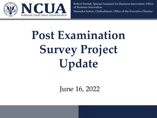

Robert Parrish, Special Assistant for Business Innovation, Office of Business Innovation Shameka Sutton, Ombudsman, Office of the Executive Director

# **Post Examination Survey Project Update**

June 16, 2022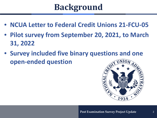## **Background**

- **NCUA Letter to Federal Credit Unions 21-FCU-05**
- **Pilot survey from September 20, 2021, to March 31, 2022**
- **Survey included five binary questions and one open-ended question**

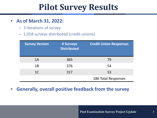### **Pilot Survey Results**

- **As of March 31, 2022:**
	- 3 iterations of survey
	- 1,058 surveys distributed (credit unions)

| <b>Survey Version</b> | # Surveys<br><b>Distributed</b> | <b>Credit Union Responses</b> |
|-----------------------|---------------------------------|-------------------------------|
| 1A                    | 365                             | 79                            |
| 1Β                    | 376                             | 54                            |
| 1 <sup>C</sup>        | 317                             | 53                            |
|                       |                                 | 186 Total Responses           |

• **Generally, overall positive feedback from the survey**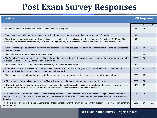### **Post Exam Survey Responses**

| <b>Question</b>                                                                                                                                                                                                                                                                                                 |      | <b>CU Responses</b> |     |
|-----------------------------------------------------------------------------------------------------------------------------------------------------------------------------------------------------------------------------------------------------------------------------------------------------------------|------|---------------------|-----|
|                                                                                                                                                                                                                                                                                                                 | Yes  | <b>No</b>           | N/A |
| 1. Request for pre-exam data and information, avoided duplicate requests.                                                                                                                                                                                                                                       |      | 5%                  |     |
| 2. Examiner consulted with management concerning time frames for providing requested pre-exam data and information.                                                                                                                                                                                             |      |                     |     |
| 3. The written exam report documented and explained the examiner's final conclusions and determinations. This includes CAMEL and Risk<br>Ratings, any Documents of Resolution, any Examiner's Findings, and any other concerns or conclusions expressed in the written report.                                  | 100% |                     |     |
| 4. Examiner's Findings, Documents of Resolution, and other concerns were discussed with credit union management prior to being presented<br>to the Board of Directors.                                                                                                                                          | 93%  | 2%                  | 5%  |
| 5. The credit union was made aware of its appeal rights.                                                                                                                                                                                                                                                        | 93%  | 7%                  |     |
| 6. The Exam Notification and Items Requested Letter included the names of the field supervisor (Supervisory Examiner or Director of Special<br>Actions) and Examiner-in-Charge assigned to your credit union.                                                                                                   | 98%  | 2%                  |     |
| 7. The exam review areas included those that pose the highest risk to your institution.                                                                                                                                                                                                                         | 100% |                     |     |
| 8. A reference to the applicable law, NCUA Rules and Regulations, GAAP, or other binding standard or requirement was provided for all<br>Document of Resolution items included in the final examination report.                                                                                                 | 61%  | 2%                  | 37% |
| 9. The examiner held an exit meeting with the CEO or designated credit union staff to discuss conclusions from the examination.                                                                                                                                                                                 | 95%  | 5%                  |     |
| 10. The examiner offered to keep management (CEO or designated credit union staff) updated throughout the exam.                                                                                                                                                                                                 | 98%  | 2%                  |     |
| 11. Notification of the examination was provided to management at least four weeks in advance of the state of the onsite exam work. (Please<br>note, examiners are permitted to provide less than four weeks advance notice in some limited circumstances.                                                      | 96%  | 4%                  |     |
| 12. The final exam report was delivered at the exit meeting with the CEO or designated credit union staff or at the joint conference with the<br>credit union's board of directors (if one was held) or if changes resulted from either of these meetings, was delivered within 10 business days<br>thereafter. | 91%  | 9%                  |     |
| 13. The examiner offered to hold a Joint Conference - that is, a meeting with the credit union's board of directors - to discuss conclusions from<br>the examination.                                                                                                                                           |      | 3%                  | 6%  |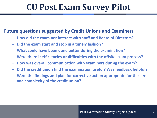### **CU Post Exam Survey Pilot**

#### **Future questions suggested by Credit Unions and Examiners**

- **How did the examiner interact with staff and Board of Directors?**
- **Did the exam start and stop in a timely fashion?**
- **What could have been done better during the examination?**
- **Were there inefficiencies or difficulties with the offsite exam process?**
- **How was overall communication with examiners during the exam?**
- **Did the credit union find the examination useful? Was feedback helpful?**
- **Were the findings and plan for corrective action appropriate for the size and complexity of the credit union?**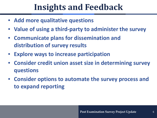### **Insights and Feedback**

- **Add more qualitative questions**
- **Value of using a third-party to administer the survey**
- **Communicate plans for dissemination and distribution of survey results**
- **Explore ways to increase participation**
- **Consider credit union asset size in determining survey questions**
- **Consider options to automate the survey process and to expand reporting**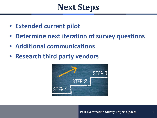### **Next Steps**

- **Extended current pilot**
- **Determine next iteration of survey questions**
- **Additional communications**
- **Research third party vendors**